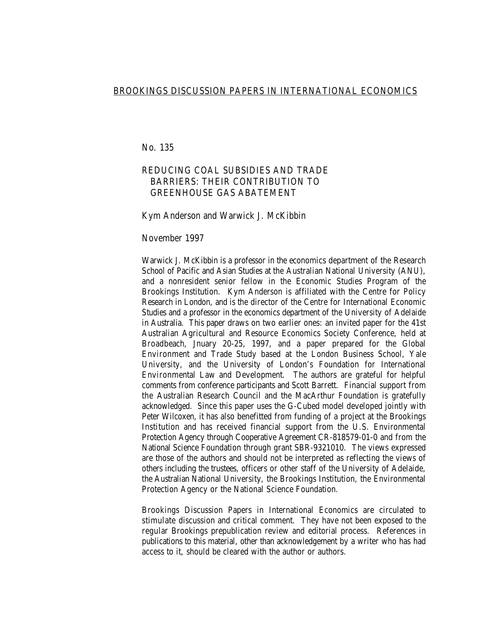### BROOKINGS DISCUSSION PAPERS IN INTERNATIONAL ECONOMICS

No. 135

## REDUCING COAL SUBSIDIES AND TRADE BARRIERS: THEIR CONTRIBUTION TO GREENHOUSE GAS ABATEMENT

Kym Anderson and Warwick J. McKibbin

November 1997

Warwick J. McKibbin is a professor in the economics department of the Research School of Pacific and Asian Studies at the Australian National University (ANU), and a nonresident senior fellow in the Economic Studies Program of the Brookings Institution. Kym Anderson is affiliated with the Centre for Policy Research in London, and is the director of the Centre for International Economic Studies and a professor in the economics department of the University of Adelaide in Australia. This paper draws on two earlier ones: an invited paper for the 41st Australian Agricultural and Resource Economics Society Conference, held at Broadbeach, Jnuary 20-25, 1997, and a paper prepared for the Global Environment and Trade Study based at the London Business School, Yale University, and the University of London's Foundation for International Environmental Law and Development. The authors are grateful for helpful comments from conference participants and Scott Barrett. Financial support from the Australian Research Council and the MacArthur Foundation is gratefully acknowledged. Since this paper uses the G-Cubed model developed jointly with Peter Wilcoxen, it has also benefitted from funding of a project at the Brookings Institution and has received financial support from the U.S. Environmental Protection Agency through Cooperative Agreement CR-818579-01-0 and from the National Science Foundation through grant SBR-9321010. The views expressed are those of the authors and should not be interpreted as reflecting the views of others including the trustees, officers or other staff of the University of Adelaide, the Australian National University, the Brookings Institution, the Environmental Protection Agency or the National Science Foundation.

Brookings Discussion Papers in International Economics are circulated to stimulate discussion and critical comment. They have not been exposed to the regular Brookings prepublication review and editorial process. References in publications to this material, other than acknowledgement by a writer who has had access to it, should be cleared with the author or authors.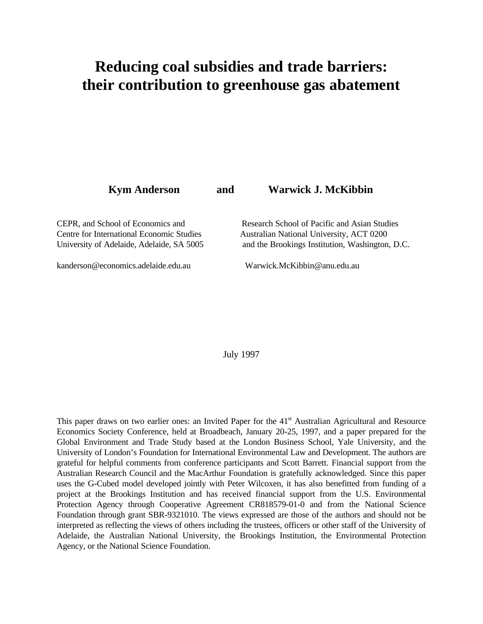# **Reducing coal subsidies and trade barriers: their contribution to greenhouse gas abatement**

#### **Kym Anderson** and Warwick J. McKibbin

CEPR, and School of Economics and Research School of Pacific and Asian Studies Centre for International Economic Studies Australian National University, ACT 0200

kanderson@economics.adelaide.edu.au Warwick.McKibbin@anu.edu.au

University of Adelaide, Adelaide, SA 5005 and the Brookings Institution, Washington, D.C.

July 1997

This paper draws on two earlier ones: an Invited Paper for the 41<sup>st</sup> Australian Agricultural and Resource Economics Society Conference, held at Broadbeach, January 20-25, 1997, and a paper prepared for the Global Environment and Trade Study based at the London Business School, Yale University, and the University of London's Foundation for International Environmental Law and Development. The authors are grateful for helpful comments from conference participants and Scott Barrett. Financial support from the Australian Research Council and the MacArthur Foundation is gratefully acknowledged. Since this paper uses the G-Cubed model developed jointly with Peter Wilcoxen, it has also benefitted from funding of a project at the Brookings Institution and has received financial support from the U.S. Environmental Protection Agency through Cooperative Agreement CR818579-01-0 and from the National Science Foundation through grant SBR-9321010. The views expressed are those of the authors and should not be interpreted as reflecting the views of others including the trustees, officers or other staff of the University of Adelaide, the Australian National University, the Brookings Institution, the Environmental Protection Agency, or the National Science Foundation.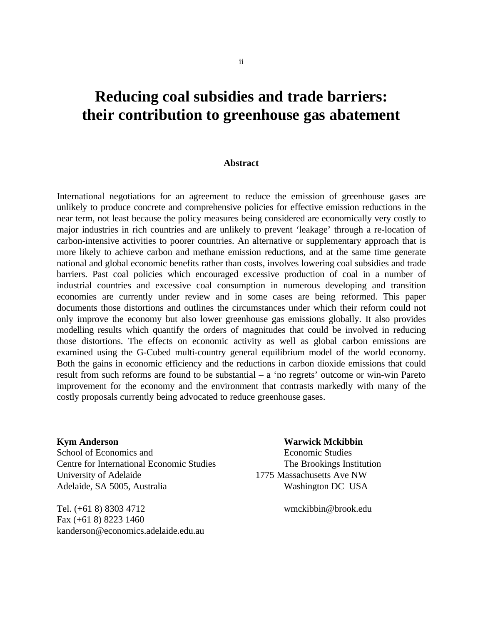# **Reducing coal subsidies and trade barriers: their contribution to greenhouse gas abatement**

#### **Abstract**

International negotiations for an agreement to reduce the emission of greenhouse gases are unlikely to produce concrete and comprehensive policies for effective emission reductions in the near term, not least because the policy measures being considered are economically very costly to major industries in rich countries and are unlikely to prevent 'leakage' through a re-location of carbon-intensive activities to poorer countries. An alternative or supplementary approach that is more likely to achieve carbon and methane emission reductions, and at the same time generate national and global economic benefits rather than costs, involves lowering coal subsidies and trade barriers. Past coal policies which encouraged excessive production of coal in a number of industrial countries and excessive coal consumption in numerous developing and transition economies are currently under review and in some cases are being reformed. This paper documents those distortions and outlines the circumstances under which their reform could not only improve the economy but also lower greenhouse gas emissions globally. It also provides modelling results which quantify the orders of magnitudes that could be involved in reducing those distortions. The effects on economic activity as well as global carbon emissions are examined using the G-Cubed multi-country general equilibrium model of the world economy. Both the gains in economic efficiency and the reductions in carbon dioxide emissions that could result from such reforms are found to be substantial – a 'no regrets' outcome or win-win Pareto improvement for the economy and the environment that contrasts markedly with many of the costly proposals currently being advocated to reduce greenhouse gases.

**Kym Anderson Warwick Mckibbin** School of Economics and Economic Studies Centre for International Economic Studies The Brookings Institution University of Adelaide 1775 Massachusetts Ave NW Adelaide, SA 5005, Australia Washington DC USA

Tel. (+61 8) 8303 4712 wmckibbin@brook.edu Fax (+61 8) 8223 1460 kanderson@economics.adelaide.edu.au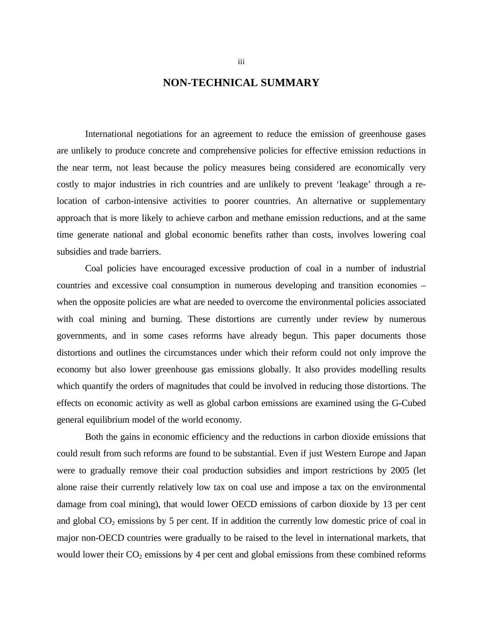### **NON-TECHNICAL SUMMARY**

International negotiations for an agreement to reduce the emission of greenhouse gases are unlikely to produce concrete and comprehensive policies for effective emission reductions in the near term, not least because the policy measures being considered are economically very costly to major industries in rich countries and are unlikely to prevent 'leakage' through a relocation of carbon-intensive activities to poorer countries. An alternative or supplementary approach that is more likely to achieve carbon and methane emission reductions, and at the same time generate national and global economic benefits rather than costs, involves lowering coal subsidies and trade barriers.

Coal policies have encouraged excessive production of coal in a number of industrial countries and excessive coal consumption in numerous developing and transition economies – when the opposite policies are what are needed to overcome the environmental policies associated with coal mining and burning. These distortions are currently under review by numerous governments, and in some cases reforms have already begun. This paper documents those distortions and outlines the circumstances under which their reform could not only improve the economy but also lower greenhouse gas emissions globally. It also provides modelling results which quantify the orders of magnitudes that could be involved in reducing those distortions. The effects on economic activity as well as global carbon emissions are examined using the G-Cubed general equilibrium model of the world economy.

Both the gains in economic efficiency and the reductions in carbon dioxide emissions that could result from such reforms are found to be substantial. Even if just Western Europe and Japan were to gradually remove their coal production subsidies and import restrictions by 2005 (let alone raise their currently relatively low tax on coal use and impose a tax on the environmental damage from coal mining), that would lower OECD emissions of carbon dioxide by 13 per cent and global  $CO<sub>2</sub>$  emissions by 5 per cent. If in addition the currently low domestic price of coal in major non-OECD countries were gradually to be raised to the level in international markets, that would lower their  $CO_2$  emissions by 4 per cent and global emissions from these combined reforms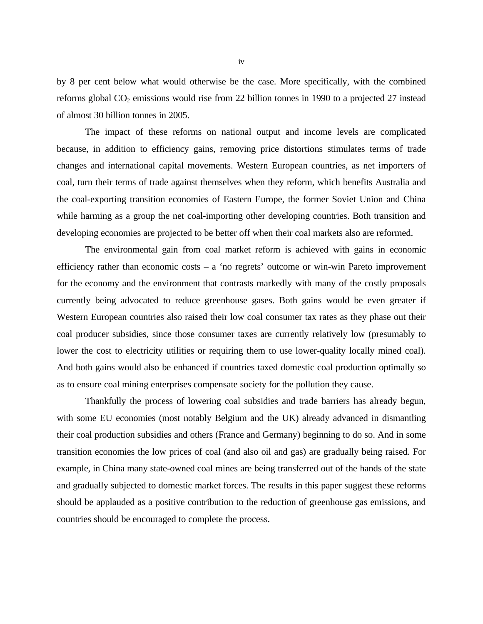by 8 per cent below what would otherwise be the case. More specifically, with the combined reforms global  $CO_2$  emissions would rise from 22 billion tonnes in 1990 to a projected 27 instead of almost 30 billion tonnes in 2005.

The impact of these reforms on national output and income levels are complicated because, in addition to efficiency gains, removing price distortions stimulates terms of trade changes and international capital movements. Western European countries, as net importers of coal, turn their terms of trade against themselves when they reform, which benefits Australia and the coal-exporting transition economies of Eastern Europe, the former Soviet Union and China while harming as a group the net coal-importing other developing countries. Both transition and developing economies are projected to be better off when their coal markets also are reformed.

The environmental gain from coal market reform is achieved with gains in economic efficiency rather than economic costs – a 'no regrets' outcome or win-win Pareto improvement for the economy and the environment that contrasts markedly with many of the costly proposals currently being advocated to reduce greenhouse gases. Both gains would be even greater if Western European countries also raised their low coal consumer tax rates as they phase out their coal producer subsidies, since those consumer taxes are currently relatively low (presumably to lower the cost to electricity utilities or requiring them to use lower-quality locally mined coal). And both gains would also be enhanced if countries taxed domestic coal production optimally so as to ensure coal mining enterprises compensate society for the pollution they cause.

Thankfully the process of lowering coal subsidies and trade barriers has already begun, with some EU economies (most notably Belgium and the UK) already advanced in dismantling their coal production subsidies and others (France and Germany) beginning to do so. And in some transition economies the low prices of coal (and also oil and gas) are gradually being raised. For example, in China many state-owned coal mines are being transferred out of the hands of the state and gradually subjected to domestic market forces. The results in this paper suggest these reforms should be applauded as a positive contribution to the reduction of greenhouse gas emissions, and countries should be encouraged to complete the process.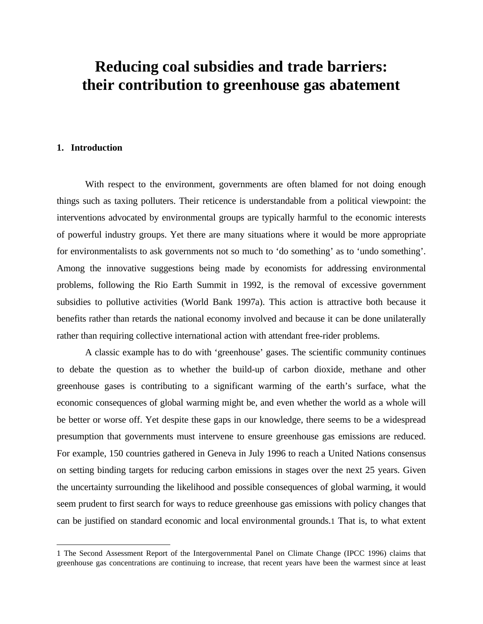# **Reducing coal subsidies and trade barriers: their contribution to greenhouse gas abatement**

#### **1. Introduction**

 $\overline{a}$ 

With respect to the environment, governments are often blamed for not doing enough things such as taxing polluters. Their reticence is understandable from a political viewpoint: the interventions advocated by environmental groups are typically harmful to the economic interests of powerful industry groups. Yet there are many situations where it would be more appropriate for environmentalists to ask governments not so much to 'do something' as to 'undo something'. Among the innovative suggestions being made by economists for addressing environmental problems, following the Rio Earth Summit in 1992, is the removal of excessive government subsidies to pollutive activities (World Bank 1997a). This action is attractive both because it benefits rather than retards the national economy involved and because it can be done unilaterally rather than requiring collective international action with attendant free-rider problems.

A classic example has to do with 'greenhouse' gases. The scientific community continues to debate the question as to whether the build-up of carbon dioxide, methane and other greenhouse gases is contributing to a significant warming of the earth's surface, what the economic consequences of global warming might be, and even whether the world as a whole will be better or worse off. Yet despite these gaps in our knowledge, there seems to be a widespread presumption that governments must intervene to ensure greenhouse gas emissions are reduced. For example, 150 countries gathered in Geneva in July 1996 to reach a United Nations consensus on setting binding targets for reducing carbon emissions in stages over the next 25 years. Given the uncertainty surrounding the likelihood and possible consequences of global warming, it would seem prudent to first search for ways to reduce greenhouse gas emissions with policy changes that can be justified on standard economic and local environmental grounds.1 That is, to what extent

<sup>1</sup> The Second Assessment Report of the Intergovernmental Panel on Climate Change (IPCC 1996) claims that greenhouse gas concentrations are continuing to increase, that recent years have been the warmest since at least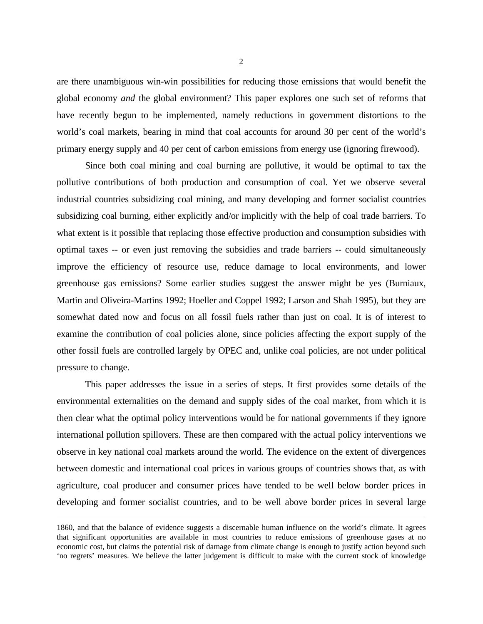are there unambiguous win-win possibilities for reducing those emissions that would benefit the global economy *and* the global environment? This paper explores one such set of reforms that have recently begun to be implemented, namely reductions in government distortions to the world's coal markets, bearing in mind that coal accounts for around 30 per cent of the world's primary energy supply and 40 per cent of carbon emissions from energy use (ignoring firewood).

Since both coal mining and coal burning are pollutive, it would be optimal to tax the pollutive contributions of both production and consumption of coal. Yet we observe several industrial countries subsidizing coal mining, and many developing and former socialist countries subsidizing coal burning, either explicitly and/or implicitly with the help of coal trade barriers. To what extent is it possible that replacing those effective production and consumption subsidies with optimal taxes -- or even just removing the subsidies and trade barriers -- could simultaneously improve the efficiency of resource use, reduce damage to local environments, and lower greenhouse gas emissions? Some earlier studies suggest the answer might be yes (Burniaux, Martin and Oliveira-Martins 1992; Hoeller and Coppel 1992; Larson and Shah 1995), but they are somewhat dated now and focus on all fossil fuels rather than just on coal. It is of interest to examine the contribution of coal policies alone, since policies affecting the export supply of the other fossil fuels are controlled largely by OPEC and, unlike coal policies, are not under political pressure to change.

This paper addresses the issue in a series of steps. It first provides some details of the environmental externalities on the demand and supply sides of the coal market, from which it is then clear what the optimal policy interventions would be for national governments if they ignore international pollution spillovers. These are then compared with the actual policy interventions we observe in key national coal markets around the world. The evidence on the extent of divergences between domestic and international coal prices in various groups of countries shows that, as with agriculture, coal producer and consumer prices have tended to be well below border prices in developing and former socialist countries, and to be well above border prices in several large

-

2

<sup>1860,</sup> and that the balance of evidence suggests a discernable human influence on the world's climate. It agrees that significant opportunities are available in most countries to reduce emissions of greenhouse gases at no economic cost, but claims the potential risk of damage from climate change is enough to justify action beyond such 'no regrets' measures. We believe the latter judgement is difficult to make with the current stock of knowledge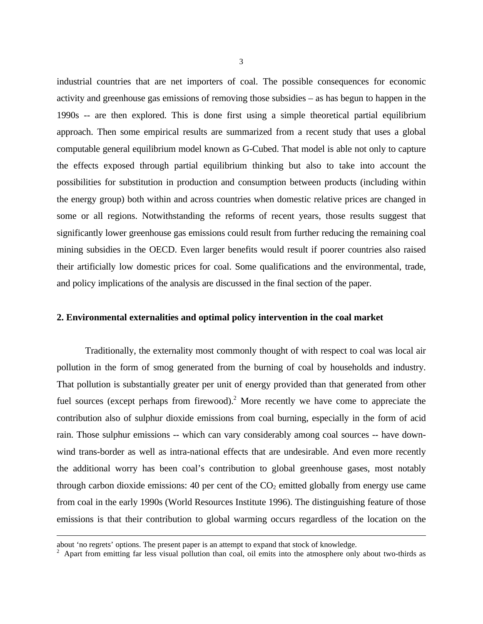industrial countries that are net importers of coal. The possible consequences for economic activity and greenhouse gas emissions of removing those subsidies – as has begun to happen in the 1990s -- are then explored. This is done first using a simple theoretical partial equilibrium approach. Then some empirical results are summarized from a recent study that uses a global computable general equilibrium model known as G-Cubed. That model is able not only to capture the effects exposed through partial equilibrium thinking but also to take into account the possibilities for substitution in production and consumption between products (including within the energy group) both within and across countries when domestic relative prices are changed in some or all regions. Notwithstanding the reforms of recent years, those results suggest that significantly lower greenhouse gas emissions could result from further reducing the remaining coal mining subsidies in the OECD. Even larger benefits would result if poorer countries also raised their artificially low domestic prices for coal. Some qualifications and the environmental, trade, and policy implications of the analysis are discussed in the final section of the paper.

#### **2. Environmental externalities and optimal policy intervention in the coal market**

Traditionally, the externality most commonly thought of with respect to coal was local air pollution in the form of smog generated from the burning of coal by households and industry. That pollution is substantially greater per unit of energy provided than that generated from other fuel sources (except perhaps from firewood).<sup>2</sup> More recently we have come to appreciate the contribution also of sulphur dioxide emissions from coal burning, especially in the form of acid rain. Those sulphur emissions -- which can vary considerably among coal sources -- have downwind trans-border as well as intra-national effects that are undesirable. And even more recently the additional worry has been coal's contribution to global greenhouse gases, most notably through carbon dioxide emissions: 40 per cent of the  $CO<sub>2</sub>$  emitted globally from energy use came from coal in the early 1990s (World Resources Institute 1996). The distinguishing feature of those emissions is that their contribution to global warming occurs regardless of the location on the

-

about 'no regrets' options. The present paper is an attempt to expand that stock of knowledge.

 $2$  Apart from emitting far less visual pollution than coal, oil emits into the atmosphere only about two-thirds as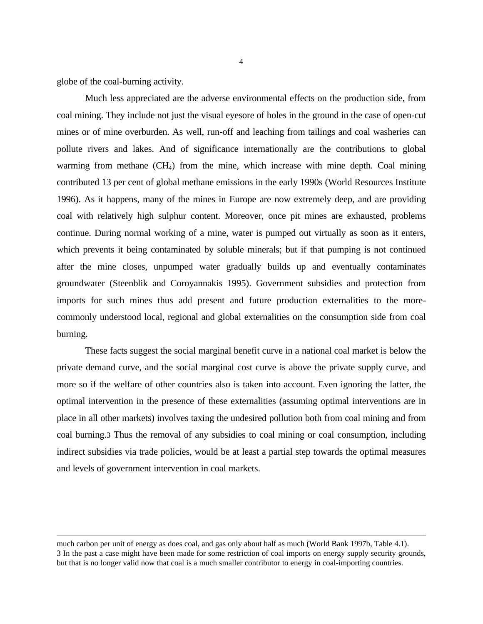globe of the coal-burning activity.

-

Much less appreciated are the adverse environmental effects on the production side, from coal mining. They include not just the visual eyesore of holes in the ground in the case of open-cut mines or of mine overburden. As well, run-off and leaching from tailings and coal washeries can pollute rivers and lakes. And of significance internationally are the contributions to global warming from methane (CH<sub>4</sub>) from the mine, which increase with mine depth. Coal mining contributed 13 per cent of global methane emissions in the early 1990s (World Resources Institute 1996). As it happens, many of the mines in Europe are now extremely deep, and are providing coal with relatively high sulphur content. Moreover, once pit mines are exhausted, problems continue. During normal working of a mine, water is pumped out virtually as soon as it enters, which prevents it being contaminated by soluble minerals; but if that pumping is not continued after the mine closes, unpumped water gradually builds up and eventually contaminates groundwater (Steenblik and Coroyannakis 1995). Government subsidies and protection from imports for such mines thus add present and future production externalities to the morecommonly understood local, regional and global externalities on the consumption side from coal burning.

These facts suggest the social marginal benefit curve in a national coal market is below the private demand curve, and the social marginal cost curve is above the private supply curve, and more so if the welfare of other countries also is taken into account. Even ignoring the latter, the optimal intervention in the presence of these externalities (assuming optimal interventions are in place in all other markets) involves taxing the undesired pollution both from coal mining and from coal burning.3 Thus the removal of any subsidies to coal mining or coal consumption, including indirect subsidies via trade policies, would be at least a partial step towards the optimal measures and levels of government intervention in coal markets.

much carbon per unit of energy as does coal, and gas only about half as much (World Bank 1997b, Table 4.1). 3 In the past a case might have been made for some restriction of coal imports on energy supply security grounds, but that is no longer valid now that coal is a much smaller contributor to energy in coal-importing countries.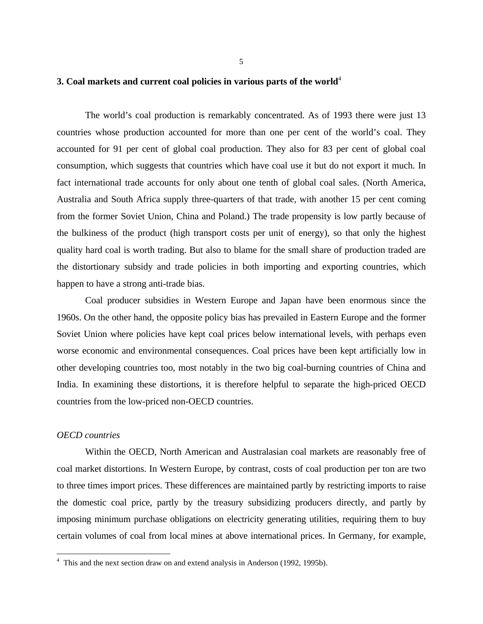#### **3. Coal markets and current coal policies in various parts of the world**<sup>4</sup>

The world's coal production is remarkably concentrated. As of 1993 there were just 13 countries whose production accounted for more than one per cent of the world's coal. They accounted for 91 per cent of global coal production. They also for 83 per cent of global coal consumption, which suggests that countries which have coal use it but do not export it much. In fact international trade accounts for only about one tenth of global coal sales. (North America, Australia and South Africa supply three-quarters of that trade, with another 15 per cent coming from the former Soviet Union, China and Poland.) The trade propensity is low partly because of the bulkiness of the product (high transport costs per unit of energy), so that only the highest quality hard coal is worth trading. But also to blame for the small share of production traded are the distortionary subsidy and trade policies in both importing and exporting countries, which happen to have a strong anti-trade bias.

Coal producer subsidies in Western Europe and Japan have been enormous since the 1960s. On the other hand, the opposite policy bias has prevailed in Eastern Europe and the former Soviet Union where policies have kept coal prices below international levels, with perhaps even worse economic and environmental consequences. Coal prices have been kept artificially low in other developing countries too, most notably in the two big coal-burning countries of China and India. In examining these distortions, it is therefore helpful to separate the high-priced OECD countries from the low-priced non-OECD countries.

#### *OECD countries*

-

Within the OECD, North American and Australasian coal markets are reasonably free of coal market distortions. In Western Europe, by contrast, costs of coal production per ton are two to three times import prices. These differences are maintained partly by restricting imports to raise the domestic coal price, partly by the treasury subsidizing producers directly, and partly by imposing minimum purchase obligations on electricity generating utilities, requiring them to buy certain volumes of coal from local mines at above international prices. In Germany, for example,

<sup>&</sup>lt;sup>4</sup> This and the next section draw on and extend analysis in Anderson (1992, 1995b).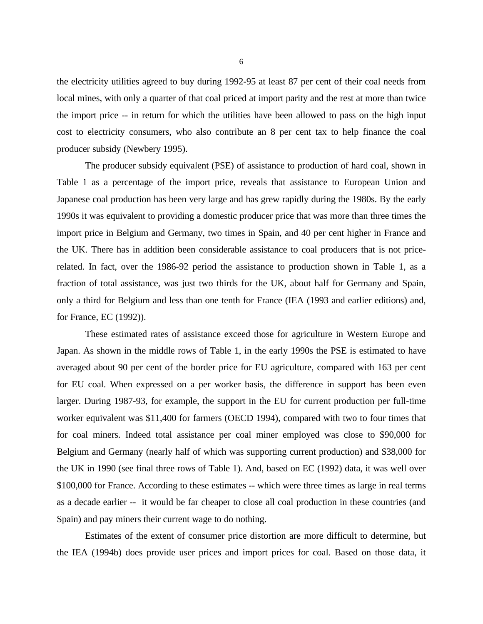the electricity utilities agreed to buy during 1992-95 at least 87 per cent of their coal needs from local mines, with only a quarter of that coal priced at import parity and the rest at more than twice the import price -- in return for which the utilities have been allowed to pass on the high input cost to electricity consumers, who also contribute an 8 per cent tax to help finance the coal producer subsidy (Newbery 1995).

The producer subsidy equivalent (PSE) of assistance to production of hard coal, shown in Table 1 as a percentage of the import price, reveals that assistance to European Union and Japanese coal production has been very large and has grew rapidly during the 1980s. By the early 1990s it was equivalent to providing a domestic producer price that was more than three times the import price in Belgium and Germany, two times in Spain, and 40 per cent higher in France and the UK. There has in addition been considerable assistance to coal producers that is not pricerelated. In fact, over the 1986-92 period the assistance to production shown in Table 1, as a fraction of total assistance, was just two thirds for the UK, about half for Germany and Spain, only a third for Belgium and less than one tenth for France (IEA (1993 and earlier editions) and, for France, EC (1992)).

These estimated rates of assistance exceed those for agriculture in Western Europe and Japan. As shown in the middle rows of Table 1, in the early 1990s the PSE is estimated to have averaged about 90 per cent of the border price for EU agriculture, compared with 163 per cent for EU coal. When expressed on a per worker basis, the difference in support has been even larger. During 1987-93, for example, the support in the EU for current production per full-time worker equivalent was \$11,400 for farmers (OECD 1994), compared with two to four times that for coal miners. Indeed total assistance per coal miner employed was close to \$90,000 for Belgium and Germany (nearly half of which was supporting current production) and \$38,000 for the UK in 1990 (see final three rows of Table 1). And, based on EC (1992) data, it was well over \$100,000 for France. According to these estimates -- which were three times as large in real terms as a decade earlier -- it would be far cheaper to close all coal production in these countries (and Spain) and pay miners their current wage to do nothing.

Estimates of the extent of consumer price distortion are more difficult to determine, but the IEA (1994b) does provide user prices and import prices for coal. Based on those data, it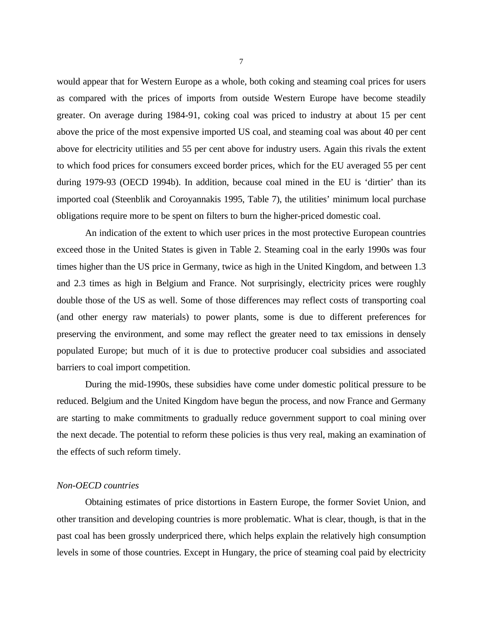would appear that for Western Europe as a whole, both coking and steaming coal prices for users as compared with the prices of imports from outside Western Europe have become steadily greater. On average during 1984-91, coking coal was priced to industry at about 15 per cent above the price of the most expensive imported US coal, and steaming coal was about 40 per cent above for electricity utilities and 55 per cent above for industry users. Again this rivals the extent to which food prices for consumers exceed border prices, which for the EU averaged 55 per cent during 1979-93 (OECD 1994b). In addition, because coal mined in the EU is 'dirtier' than its imported coal (Steenblik and Coroyannakis 1995, Table 7), the utilities' minimum local purchase obligations require more to be spent on filters to burn the higher-priced domestic coal.

An indication of the extent to which user prices in the most protective European countries exceed those in the United States is given in Table 2. Steaming coal in the early 1990s was four times higher than the US price in Germany, twice as high in the United Kingdom, and between 1.3 and 2.3 times as high in Belgium and France. Not surprisingly, electricity prices were roughly double those of the US as well. Some of those differences may reflect costs of transporting coal (and other energy raw materials) to power plants, some is due to different preferences for preserving the environment, and some may reflect the greater need to tax emissions in densely populated Europe; but much of it is due to protective producer coal subsidies and associated barriers to coal import competition.

During the mid-1990s, these subsidies have come under domestic political pressure to be reduced. Belgium and the United Kingdom have begun the process, and now France and Germany are starting to make commitments to gradually reduce government support to coal mining over the next decade. The potential to reform these policies is thus very real, making an examination of the effects of such reform timely.

#### *Non-OECD countries*

Obtaining estimates of price distortions in Eastern Europe, the former Soviet Union, and other transition and developing countries is more problematic. What is clear, though, is that in the past coal has been grossly underpriced there, which helps explain the relatively high consumption levels in some of those countries. Except in Hungary, the price of steaming coal paid by electricity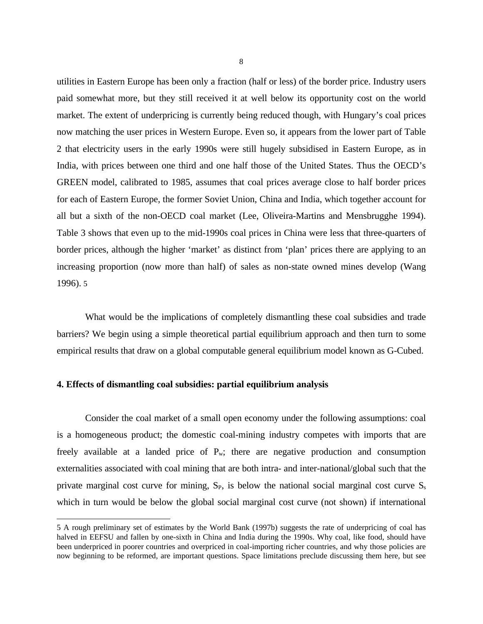utilities in Eastern Europe has been only a fraction (half or less) of the border price. Industry users paid somewhat more, but they still received it at well below its opportunity cost on the world market. The extent of underpricing is currently being reduced though, with Hungary's coal prices now matching the user prices in Western Europe. Even so, it appears from the lower part of Table 2 that electricity users in the early 1990s were still hugely subsidised in Eastern Europe, as in India, with prices between one third and one half those of the United States. Thus the OECD's GREEN model, calibrated to 1985, assumes that coal prices average close to half border prices for each of Eastern Europe, the former Soviet Union, China and India, which together account for all but a sixth of the non-OECD coal market (Lee, Oliveira-Martins and Mensbrugghe 1994). Table 3 shows that even up to the mid-1990s coal prices in China were less that three-quarters of border prices, although the higher 'market' as distinct from 'plan' prices there are applying to an increasing proportion (now more than half) of sales as non-state owned mines develop (Wang 1996). 5

What would be the implications of completely dismantling these coal subsidies and trade barriers? We begin using a simple theoretical partial equilibrium approach and then turn to some empirical results that draw on a global computable general equilibrium model known as G-Cubed.

#### **4. Effects of dismantling coal subsidies: partial equilibrium analysis**

 $\overline{a}$ 

Consider the coal market of a small open economy under the following assumptions: coal is a homogeneous product; the domestic coal-mining industry competes with imports that are freely available at a landed price of  $P_w$ ; there are negative production and consumption externalities associated with coal mining that are both intra- and inter-national/global such that the private marginal cost curve for mining,  $S_{P}$ , is below the national social marginal cost curve  $S_{S}$ which in turn would be below the global social marginal cost curve (not shown) if international

<sup>5</sup> A rough preliminary set of estimates by the World Bank (1997b) suggests the rate of underpricing of coal has halved in EEFSU and fallen by one-sixth in China and India during the 1990s. Why coal, like food, should have been underpriced in poorer countries and overpriced in coal-importing richer countries, and why those policies are now beginning to be reformed, are important questions. Space limitations preclude discussing them here, but see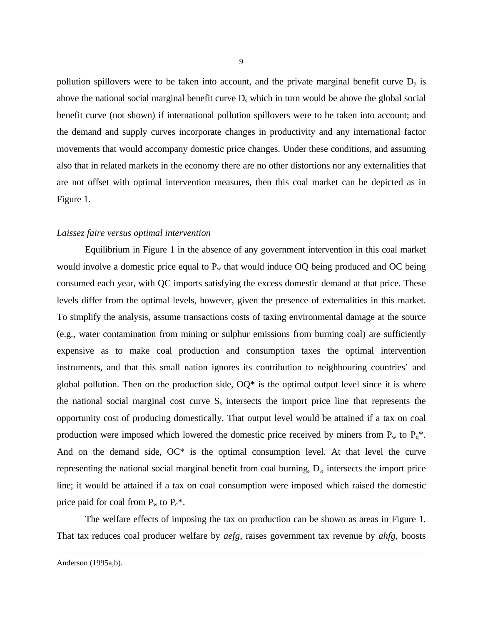pollution spillovers were to be taken into account, and the private marginal benefit curve  $D_p$  is above the national social marginal benefit curve  $D_s$  which in turn would be above the global social benefit curve (not shown) if international pollution spillovers were to be taken into account; and the demand and supply curves incorporate changes in productivity and any international factor movements that would accompany domestic price changes. Under these conditions, and assuming also that in related markets in the economy there are no other distortions nor any externalities that are not offset with optimal intervention measures, then this coal market can be depicted as in Figure 1.

#### *Laissez faire versus optimal intervention*

Equilibrium in Figure 1 in the absence of any government intervention in this coal market would involve a domestic price equal to  $P_w$  that would induce OQ being produced and OC being consumed each year, with QC imports satisfying the excess domestic demand at that price. These levels differ from the optimal levels, however, given the presence of externalities in this market. To simplify the analysis, assume transactions costs of taxing environmental damage at the source (e.g., water contamination from mining or sulphur emissions from burning coal) are sufficiently expensive as to make coal production and consumption taxes the optimal intervention instruments, and that this small nation ignores its contribution to neighbouring countries' and global pollution. Then on the production side,  $OQ^*$  is the optimal output level since it is where the national social marginal cost curve  $S_s$  intersects the import price line that represents the opportunity cost of producing domestically. That output level would be attained if a tax on coal production were imposed which lowered the domestic price received by miners from  $P_w$  to  $P_q^*$ . And on the demand side, OC\* is the optimal consumption level. At that level the curve representing the national social marginal benefit from coal burning,  $D_s$ , intersects the import price line; it would be attained if a tax on coal consumption were imposed which raised the domestic price paid for coal from  $P_w$  to  $P_c^*$ .

The welfare effects of imposing the tax on production can be shown as areas in Figure 1. That tax reduces coal producer welfare by *aefg*, raises government tax revenue by *ahfg,* boosts

 $\overline{a}$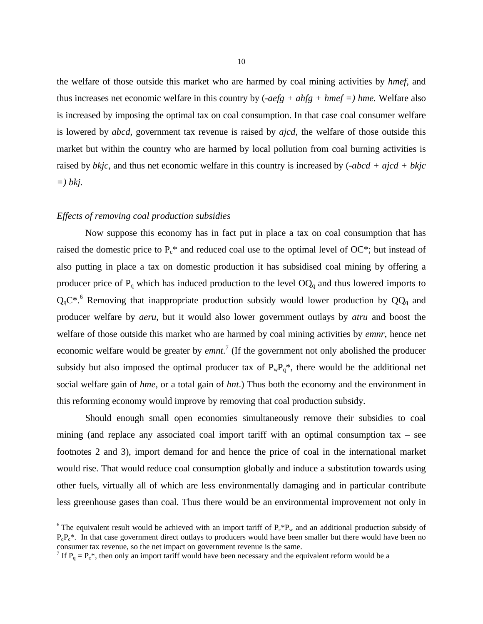the welfare of those outside this market who are harmed by coal mining activities by *hmef*, and thus increases net economic welfare in this country by (-*aefg + ahfg + hmef =) hme.* Welfare also is increased by imposing the optimal tax on coal consumption. In that case coal consumer welfare is lowered by *abcd*, government tax revenue is raised by *ajcd,* the welfare of those outside this market but within the country who are harmed by local pollution from coal burning activities is raised by *bkjc*, and thus net economic welfare in this country is increased by (-*abcd + ajcd + bkjc =) bkj.*

#### *Effects of removing coal production subsidies*

 $\overline{a}$ 

Now suppose this economy has in fact put in place a tax on coal consumption that has raised the domestic price to  $P_c^*$  and reduced coal use to the optimal level of OC\*; but instead of also putting in place a tax on domestic production it has subsidised coal mining by offering a producer price of  $P_q$  which has induced production to the level  $OQ_q$  and thus lowered imports to  $Q_qC^*$ .<sup>6</sup> Removing that inappropriate production subsidy would lower production by  $QQ_q$  and producer welfare by *aeru,* but it would also lower government outlays by *atru* and boost the welfare of those outside this market who are harmed by coal mining activities by *emnr*, hence net economic welfare would be greater by *emnt*. 7 (If the government not only abolished the producer subsidy but also imposed the optimal producer tax of  $P_wP_q^*$ , there would be the additional net social welfare gain of *hme*, or a total gain of *hnt*.) Thus both the economy and the environment in this reforming economy would improve by removing that coal production subsidy.

Should enough small open economies simultaneously remove their subsidies to coal mining (and replace any associated coal import tariff with an optimal consumption tax – see footnotes 2 and 3), import demand for and hence the price of coal in the international market would rise. That would reduce coal consumption globally and induce a substitution towards using other fuels, virtually all of which are less environmentally damaging and in particular contribute less greenhouse gases than coal. Thus there would be an environmental improvement not only in

<sup>&</sup>lt;sup>6</sup> The equivalent result would be achieved with an import tariff of  $P_c*P_w$  and an additional production subsidy of  $P_{q}P_{s}$ . In that case government direct outlays to producers would have been smaller but there would have been no consumer tax revenue, so the net impact on government revenue is the same.

<sup>&</sup>lt;sup>7</sup> If  $P_q = P_c^*$ , then only an import tariff would have been necessary and the equivalent reform would be a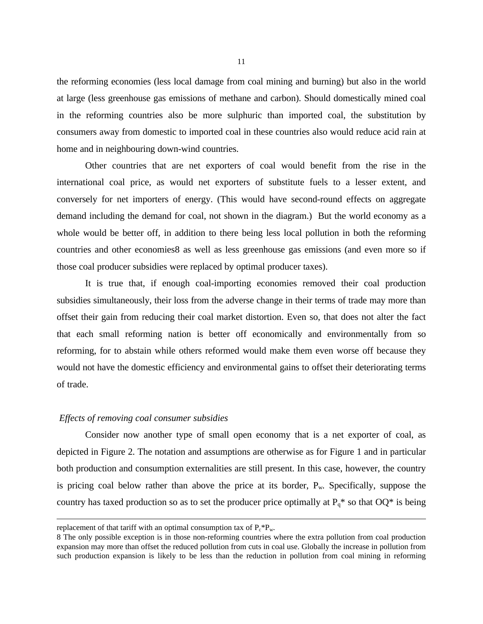the reforming economies (less local damage from coal mining and burning) but also in the world at large (less greenhouse gas emissions of methane and carbon). Should domestically mined coal in the reforming countries also be more sulphuric than imported coal, the substitution by consumers away from domestic to imported coal in these countries also would reduce acid rain at home and in neighbouring down-wind countries.

Other countries that are net exporters of coal would benefit from the rise in the international coal price, as would net exporters of substitute fuels to a lesser extent, and conversely for net importers of energy. (This would have second-round effects on aggregate demand including the demand for coal, not shown in the diagram.) But the world economy as a whole would be better off, in addition to there being less local pollution in both the reforming countries and other economies8 as well as less greenhouse gas emissions (and even more so if those coal producer subsidies were replaced by optimal producer taxes).

It is true that, if enough coal-importing economies removed their coal production subsidies simultaneously, their loss from the adverse change in their terms of trade may more than offset their gain from reducing their coal market distortion. Even so, that does not alter the fact that each small reforming nation is better off economically and environmentally from so reforming, for to abstain while others reformed would make them even worse off because they would not have the domestic efficiency and environmental gains to offset their deteriorating terms of trade.

#### *Effects of removing coal consumer subsidies*

 $\overline{a}$ 

Consider now another type of small open economy that is a net exporter of coal, as depicted in Figure 2. The notation and assumptions are otherwise as for Figure 1 and in particular both production and consumption externalities are still present. In this case, however, the country is pricing coal below rather than above the price at its border,  $P_w$ . Specifically, suppose the country has taxed production so as to set the producer price optimally at  $P_q^*$  so that OQ\* is being

replacement of that tariff with an optimal consumption tax of  $P_c*P_w$ .

<sup>8</sup> The only possible exception is in those non-reforming countries where the extra pollution from coal production expansion may more than offset the reduced pollution from cuts in coal use. Globally the increase in pollution from such production expansion is likely to be less than the reduction in pollution from coal mining in reforming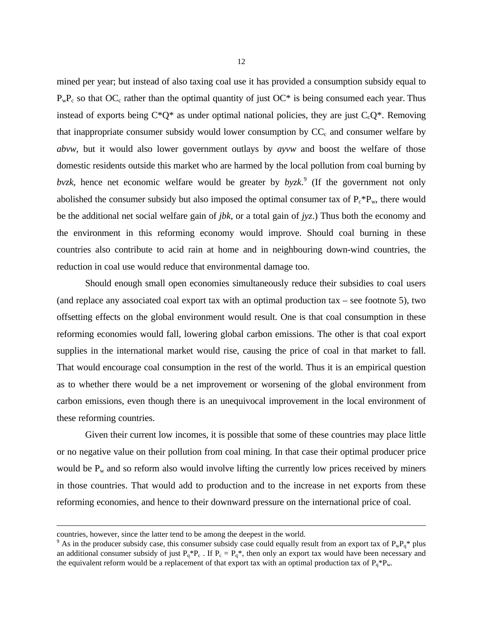mined per year; but instead of also taxing coal use it has provided a consumption subsidy equal to  $P_wP_c$  so that OC<sub>c</sub> rather than the optimal quantity of just OC\* is being consumed each year. Thus instead of exports being  $C^*Q^*$  as under optimal national policies, they are just  $C_cQ^*$ . Removing that inappropriate consumer subsidy would lower consumption by  $CC_c$  and consumer welfare by *abvw,* but it would also lower government outlays by *ayvw* and boost the welfare of those domestic residents outside this market who are harmed by the local pollution from coal burning by *bvzk*, hence net economic welfare would be greater by *byzk*. 9 (If the government not only abolished the consumer subsidy but also imposed the optimal consumer tax of  $P_c*P_w$ , there would be the additional net social welfare gain of *jbk*, or a total gain of *jyz*.) Thus both the economy and the environment in this reforming economy would improve. Should coal burning in these countries also contribute to acid rain at home and in neighbouring down-wind countries, the reduction in coal use would reduce that environmental damage too.

Should enough small open economies simultaneously reduce their subsidies to coal users (and replace any associated coal export tax with an optimal production tax – see footnote 5), two offsetting effects on the global environment would result. One is that coal consumption in these reforming economies would fall, lowering global carbon emissions. The other is that coal export supplies in the international market would rise, causing the price of coal in that market to fall. That would encourage coal consumption in the rest of the world. Thus it is an empirical question as to whether there would be a net improvement or worsening of the global environment from carbon emissions, even though there is an unequivocal improvement in the local environment of these reforming countries.

Given their current low incomes, it is possible that some of these countries may place little or no negative value on their pollution from coal mining. In that case their optimal producer price would be  $P_w$  and so reform also would involve lifting the currently low prices received by miners in those countries. That would add to production and to the increase in net exports from these reforming economies, and hence to their downward pressure on the international price of coal.

-

countries, however, since the latter tend to be among the deepest in the world.

<sup>&</sup>lt;sup>9</sup> As in the producer subsidy case, this consumer subsidy case could equally result from an export tax of  $P_wP_q^*$  plus an additional consumer subsidy of just  $P_q^*P_c$ . If  $P_c = P_q^*$ , then only an export tax would have been necessary and the equivalent reform would be a replacement of that export tax with an optimal production tax of  $P_q*P_w$ .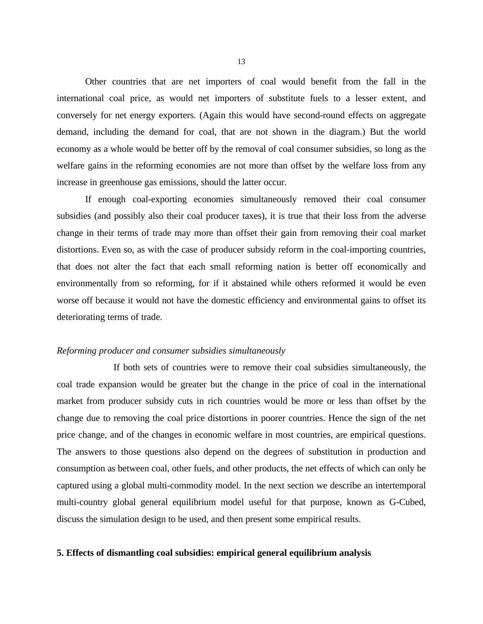Other countries that are net importers of coal would benefit from the fall in the international coal price, as would net importers of substitute fuels to a lesser extent, and conversely for net energy exporters. (Again this would have second-round effects on aggregate demand, including the demand for coal, that are not shown in the diagram.) But the world economy as a whole would be better off by the removal of coal consumer subsidies, so long as the welfare gains in the reforming economies are not more than offset by the welfare loss from any increase in greenhouse gas emissions, should the latter occur.

If enough coal-exporting economies simultaneously removed their coal consumer subsidies (and possibly also their coal producer taxes), it is true that their loss from the adverse change in their terms of trade may more than offset their gain from removing their coal market distortions. Even so, as with the case of producer subsidy reform in the coal-importing countries, that does not alter the fact that each small reforming nation is better off economically and environmentally from so reforming, for if it abstained while others reformed it would be even worse off because it would not have the domestic efficiency and environmental gains to offset its deteriorating terms of trade.

#### *Reforming producer and consumer subsidies simultaneously*

If both sets of countries were to remove their coal subsidies simultaneously, the coal trade expansion would be greater but the change in the price of coal in the international market from producer subsidy cuts in rich countries would be more or less than offset by the change due to removing the coal price distortions in poorer countries. Hence the sign of the net price change, and of the changes in economic welfare in most countries, are empirical questions. The answers to those questions also depend on the degrees of substitution in production and consumption as between coal, other fuels, and other products, the net effects of which can only be captured using a global multi-commodity model. In the next section we describe an intertemporal multi-country global general equilibrium model useful for that purpose, known as G-Cubed, discuss the simulation design to be used, and then present some empirical results.

#### **5. Effects of dismantling coal subsidies: empirical general equilibrium analysis**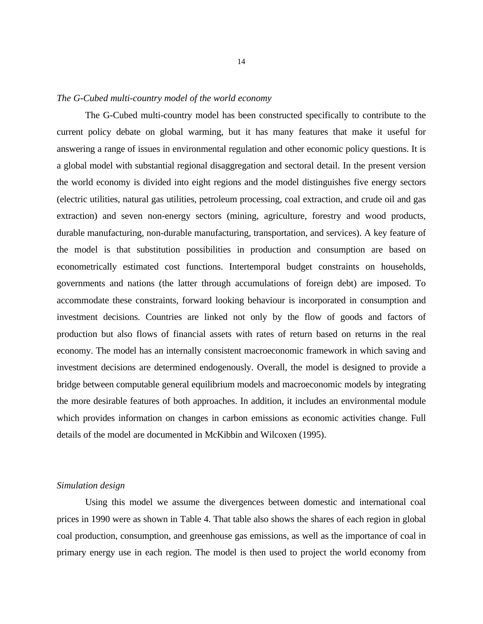#### *The G-Cubed multi-country model of the world economy*

The G-Cubed multi-country model has been constructed specifically to contribute to the current policy debate on global warming, but it has many features that make it useful for answering a range of issues in environmental regulation and other economic policy questions. It is a global model with substantial regional disaggregation and sectoral detail. In the present version the world economy is divided into eight regions and the model distinguishes five energy sectors (electric utilities, natural gas utilities, petroleum processing, coal extraction, and crude oil and gas extraction) and seven non-energy sectors (mining, agriculture, forestry and wood products, durable manufacturing, non-durable manufacturing, transportation, and services). A key feature of the model is that substitution possibilities in production and consumption are based on econometrically estimated cost functions. Intertemporal budget constraints on households, governments and nations (the latter through accumulations of foreign debt) are imposed. To accommodate these constraints, forward looking behaviour is incorporated in consumption and investment decisions. Countries are linked not only by the flow of goods and factors of production but also flows of financial assets with rates of return based on returns in the real economy. The model has an internally consistent macroeconomic framework in which saving and investment decisions are determined endogenously. Overall, the model is designed to provide a bridge between computable general equilibrium models and macroeconomic models by integrating the more desirable features of both approaches. In addition, it includes an environmental module which provides information on changes in carbon emissions as economic activities change. Full details of the model are documented in McKibbin and Wilcoxen (1995).

#### *Simulation design*

Using this model we assume the divergences between domestic and international coal prices in 1990 were as shown in Table 4. That table also shows the shares of each region in global coal production, consumption, and greenhouse gas emissions, as well as the importance of coal in primary energy use in each region. The model is then used to project the world economy from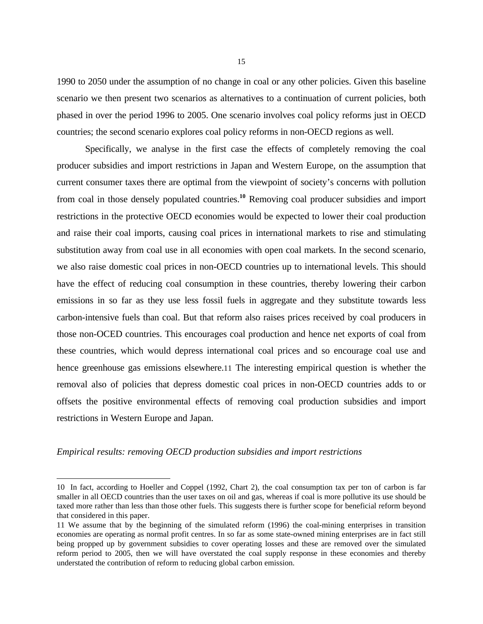1990 to 2050 under the assumption of no change in coal or any other policies. Given this baseline scenario we then present two scenarios as alternatives to a continuation of current policies, both phased in over the period 1996 to 2005. One scenario involves coal policy reforms just in OECD countries; the second scenario explores coal policy reforms in non-OECD regions as well.

Specifically, we analyse in the first case the effects of completely removing the coal producer subsidies and import restrictions in Japan and Western Europe, on the assumption that current consumer taxes there are optimal from the viewpoint of society's concerns with pollution from coal in those densely populated countries.**<sup>10</sup>** Removing coal producer subsidies and import restrictions in the protective OECD economies would be expected to lower their coal production and raise their coal imports, causing coal prices in international markets to rise and stimulating substitution away from coal use in all economies with open coal markets. In the second scenario, we also raise domestic coal prices in non-OECD countries up to international levels. This should have the effect of reducing coal consumption in these countries, thereby lowering their carbon emissions in so far as they use less fossil fuels in aggregate and they substitute towards less carbon-intensive fuels than coal. But that reform also raises prices received by coal producers in those non-OCED countries. This encourages coal production and hence net exports of coal from these countries, which would depress international coal prices and so encourage coal use and hence greenhouse gas emissions elsewhere.11 The interesting empirical question is whether the removal also of policies that depress domestic coal prices in non-OECD countries adds to or offsets the positive environmental effects of removing coal production subsidies and import restrictions in Western Europe and Japan.

#### *Empirical results: removing OECD production subsidies and import restrictions*

-

<sup>10</sup> In fact, according to Hoeller and Coppel (1992, Chart 2), the coal consumption tax per ton of carbon is far smaller in all OECD countries than the user taxes on oil and gas, whereas if coal is more pollutive its use should be taxed more rather than less than those other fuels. This suggests there is further scope for beneficial reform beyond that considered in this paper.

<sup>11</sup> We assume that by the beginning of the simulated reform (1996) the coal-mining enterprises in transition economies are operating as normal profit centres. In so far as some state-owned mining enterprises are in fact still being propped up by government subsidies to cover operating losses and these are removed over the simulated reform period to 2005, then we will have overstated the coal supply response in these economies and thereby understated the contribution of reform to reducing global carbon emission.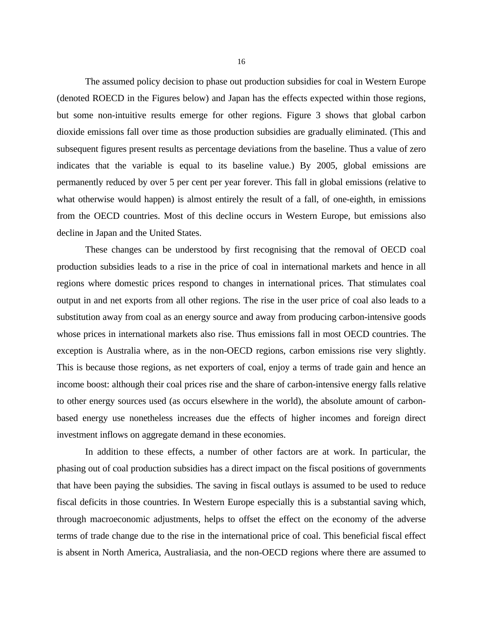The assumed policy decision to phase out production subsidies for coal in Western Europe (denoted ROECD in the Figures below) and Japan has the effects expected within those regions, but some non-intuitive results emerge for other regions. Figure 3 shows that global carbon dioxide emissions fall over time as those production subsidies are gradually eliminated. (This and subsequent figures present results as percentage deviations from the baseline. Thus a value of zero indicates that the variable is equal to its baseline value.) By 2005, global emissions are permanently reduced by over 5 per cent per year forever. This fall in global emissions (relative to what otherwise would happen) is almost entirely the result of a fall, of one-eighth, in emissions from the OECD countries. Most of this decline occurs in Western Europe, but emissions also decline in Japan and the United States.

These changes can be understood by first recognising that the removal of OECD coal production subsidies leads to a rise in the price of coal in international markets and hence in all regions where domestic prices respond to changes in international prices. That stimulates coal output in and net exports from all other regions. The rise in the user price of coal also leads to a substitution away from coal as an energy source and away from producing carbon-intensive goods whose prices in international markets also rise. Thus emissions fall in most OECD countries. The exception is Australia where, as in the non-OECD regions, carbon emissions rise very slightly. This is because those regions, as net exporters of coal, enjoy a terms of trade gain and hence an income boost: although their coal prices rise and the share of carbon-intensive energy falls relative to other energy sources used (as occurs elsewhere in the world), the absolute amount of carbonbased energy use nonetheless increases due the effects of higher incomes and foreign direct investment inflows on aggregate demand in these economies.

In addition to these effects, a number of other factors are at work. In particular, the phasing out of coal production subsidies has a direct impact on the fiscal positions of governments that have been paying the subsidies. The saving in fiscal outlays is assumed to be used to reduce fiscal deficits in those countries. In Western Europe especially this is a substantial saving which, through macroeconomic adjustments, helps to offset the effect on the economy of the adverse terms of trade change due to the rise in the international price of coal. This beneficial fiscal effect is absent in North America, Australiasia, and the non-OECD regions where there are assumed to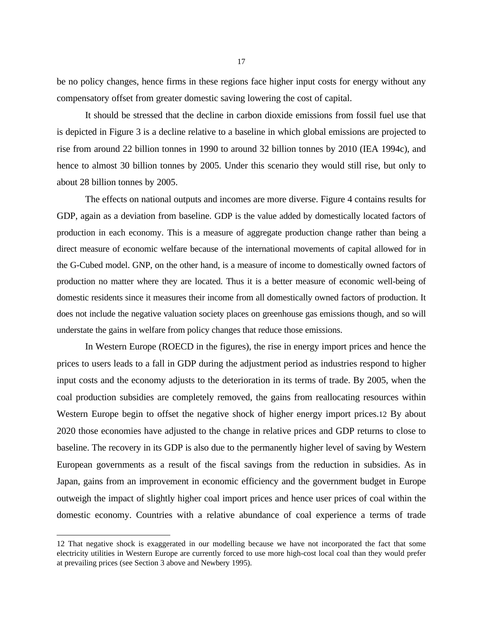be no policy changes, hence firms in these regions face higher input costs for energy without any compensatory offset from greater domestic saving lowering the cost of capital.

It should be stressed that the decline in carbon dioxide emissions from fossil fuel use that is depicted in Figure 3 is a decline relative to a baseline in which global emissions are projected to rise from around 22 billion tonnes in 1990 to around 32 billion tonnes by 2010 (IEA 1994c), and hence to almost 30 billion tonnes by 2005. Under this scenario they would still rise, but only to about 28 billion tonnes by 2005.

The effects on national outputs and incomes are more diverse. Figure 4 contains results for GDP, again as a deviation from baseline. GDP is the value added by domestically located factors of production in each economy. This is a measure of aggregate production change rather than being a direct measure of economic welfare because of the international movements of capital allowed for in the G-Cubed model. GNP, on the other hand, is a measure of income to domestically owned factors of production no matter where they are located. Thus it is a better measure of economic well-being of domestic residents since it measures their income from all domestically owned factors of production. It does not include the negative valuation society places on greenhouse gas emissions though, and so will understate the gains in welfare from policy changes that reduce those emissions.

In Western Europe (ROECD in the figures), the rise in energy import prices and hence the prices to users leads to a fall in GDP during the adjustment period as industries respond to higher input costs and the economy adjusts to the deterioration in its terms of trade. By 2005, when the coal production subsidies are completely removed, the gains from reallocating resources within Western Europe begin to offset the negative shock of higher energy import prices.12 By about 2020 those economies have adjusted to the change in relative prices and GDP returns to close to baseline. The recovery in its GDP is also due to the permanently higher level of saving by Western European governments as a result of the fiscal savings from the reduction in subsidies. As in Japan, gains from an improvement in economic efficiency and the government budget in Europe outweigh the impact of slightly higher coal import prices and hence user prices of coal within the domestic economy. Countries with a relative abundance of coal experience a terms of trade

-

<sup>12</sup> That negative shock is exaggerated in our modelling because we have not incorporated the fact that some electricity utilities in Western Europe are currently forced to use more high-cost local coal than they would prefer at prevailing prices (see Section 3 above and Newbery 1995).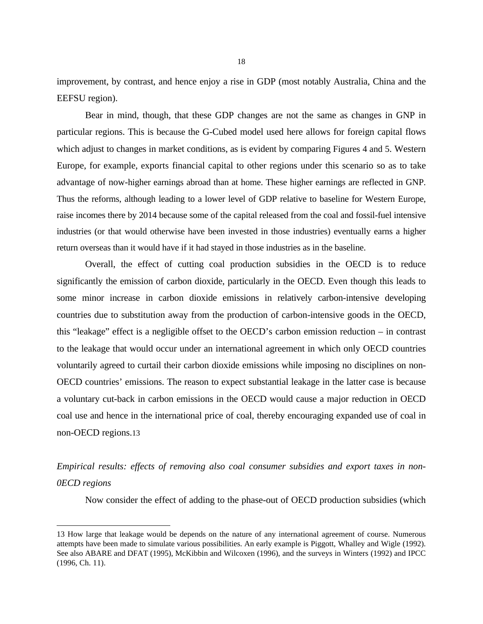improvement, by contrast, and hence enjoy a rise in GDP (most notably Australia, China and the EEFSU region).

Bear in mind, though, that these GDP changes are not the same as changes in GNP in particular regions. This is because the G-Cubed model used here allows for foreign capital flows which adjust to changes in market conditions, as is evident by comparing Figures 4 and 5. Western Europe, for example, exports financial capital to other regions under this scenario so as to take advantage of now-higher earnings abroad than at home. These higher earnings are reflected in GNP. Thus the reforms, although leading to a lower level of GDP relative to baseline for Western Europe, raise incomes there by 2014 because some of the capital released from the coal and fossil-fuel intensive industries (or that would otherwise have been invested in those industries) eventually earns a higher return overseas than it would have if it had stayed in those industries as in the baseline.

Overall, the effect of cutting coal production subsidies in the OECD is to reduce significantly the emission of carbon dioxide, particularly in the OECD. Even though this leads to some minor increase in carbon dioxide emissions in relatively carbon-intensive developing countries due to substitution away from the production of carbon-intensive goods in the OECD, this "leakage" effect is a negligible offset to the OECD's carbon emission reduction – in contrast to the leakage that would occur under an international agreement in which only OECD countries voluntarily agreed to curtail their carbon dioxide emissions while imposing no disciplines on non-OECD countries' emissions. The reason to expect substantial leakage in the latter case is because a voluntary cut-back in carbon emissions in the OECD would cause a major reduction in OECD coal use and hence in the international price of coal, thereby encouraging expanded use of coal in non-OECD regions.13

# *Empirical results: effects of removing also coal consumer subsidies and export taxes in non-0ECD regions*

Now consider the effect of adding to the phase-out of OECD production subsidies (which

-

<sup>13</sup> How large that leakage would be depends on the nature of any international agreement of course. Numerous attempts have been made to simulate various possibilities. An early example is Piggott, Whalley and Wigle (1992). See also ABARE and DFAT (1995), McKibbin and Wilcoxen (1996), and the surveys in Winters (1992) and IPCC (1996, Ch. 11).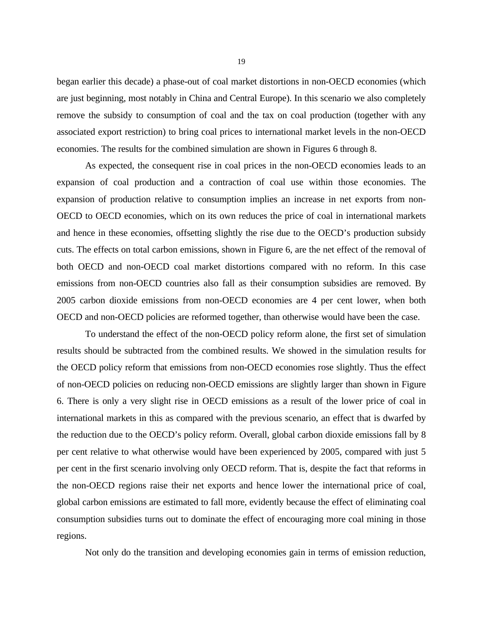began earlier this decade) a phase-out of coal market distortions in non-OECD economies (which are just beginning, most notably in China and Central Europe). In this scenario we also completely remove the subsidy to consumption of coal and the tax on coal production (together with any associated export restriction) to bring coal prices to international market levels in the non-OECD economies. The results for the combined simulation are shown in Figures 6 through 8.

As expected, the consequent rise in coal prices in the non-OECD economies leads to an expansion of coal production and a contraction of coal use within those economies. The expansion of production relative to consumption implies an increase in net exports from non-OECD to OECD economies, which on its own reduces the price of coal in international markets and hence in these economies, offsetting slightly the rise due to the OECD's production subsidy cuts. The effects on total carbon emissions, shown in Figure 6, are the net effect of the removal of both OECD and non-OECD coal market distortions compared with no reform. In this case emissions from non-OECD countries also fall as their consumption subsidies are removed. By 2005 carbon dioxide emissions from non-OECD economies are 4 per cent lower, when both OECD and non-OECD policies are reformed together, than otherwise would have been the case.

To understand the effect of the non-OECD policy reform alone, the first set of simulation results should be subtracted from the combined results. We showed in the simulation results for the OECD policy reform that emissions from non-OECD economies rose slightly. Thus the effect of non-OECD policies on reducing non-OECD emissions are slightly larger than shown in Figure 6. There is only a very slight rise in OECD emissions as a result of the lower price of coal in international markets in this as compared with the previous scenario, an effect that is dwarfed by the reduction due to the OECD's policy reform. Overall, global carbon dioxide emissions fall by 8 per cent relative to what otherwise would have been experienced by 2005, compared with just 5 per cent in the first scenario involving only OECD reform. That is, despite the fact that reforms in the non-OECD regions raise their net exports and hence lower the international price of coal, global carbon emissions are estimated to fall more, evidently because the effect of eliminating coal consumption subsidies turns out to dominate the effect of encouraging more coal mining in those regions.

Not only do the transition and developing economies gain in terms of emission reduction,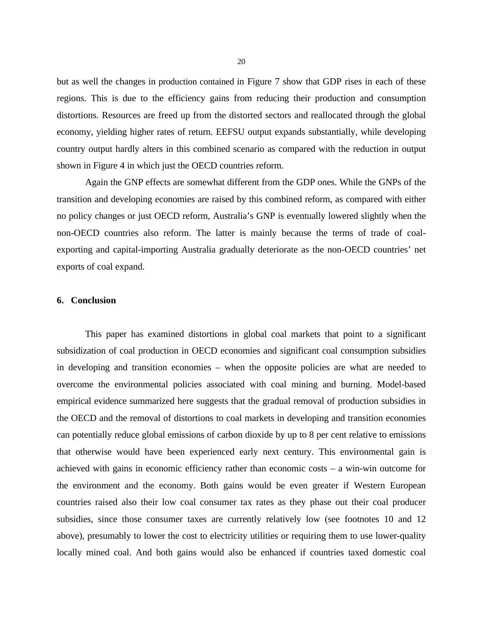but as well the changes in production contained in Figure 7 show that GDP rises in each of these regions. This is due to the efficiency gains from reducing their production and consumption distortions. Resources are freed up from the distorted sectors and reallocated through the global economy, yielding higher rates of return. EEFSU output expands substantially, while developing country output hardly alters in this combined scenario as compared with the reduction in output shown in Figure 4 in which just the OECD countries reform.

Again the GNP effects are somewhat different from the GDP ones. While the GNPs of the transition and developing economies are raised by this combined reform, as compared with either no policy changes or just OECD reform, Australia's GNP is eventually lowered slightly when the non-OECD countries also reform. The latter is mainly because the terms of trade of coalexporting and capital-importing Australia gradually deteriorate as the non-OECD countries' net exports of coal expand.

#### **6. Conclusion**

This paper has examined distortions in global coal markets that point to a significant subsidization of coal production in OECD economies and significant coal consumption subsidies in developing and transition economies – when the opposite policies are what are needed to overcome the environmental policies associated with coal mining and burning. Model-based empirical evidence summarized here suggests that the gradual removal of production subsidies in the OECD and the removal of distortions to coal markets in developing and transition economies can potentially reduce global emissions of carbon dioxide by up to 8 per cent relative to emissions that otherwise would have been experienced early next century. This environmental gain is achieved with gains in economic efficiency rather than economic costs – a win-win outcome for the environment and the economy. Both gains would be even greater if Western European countries raised also their low coal consumer tax rates as they phase out their coal producer subsidies, since those consumer taxes are currently relatively low (see footnotes 10 and 12 above), presumably to lower the cost to electricity utilities or requiring them to use lower-quality locally mined coal. And both gains would also be enhanced if countries taxed domestic coal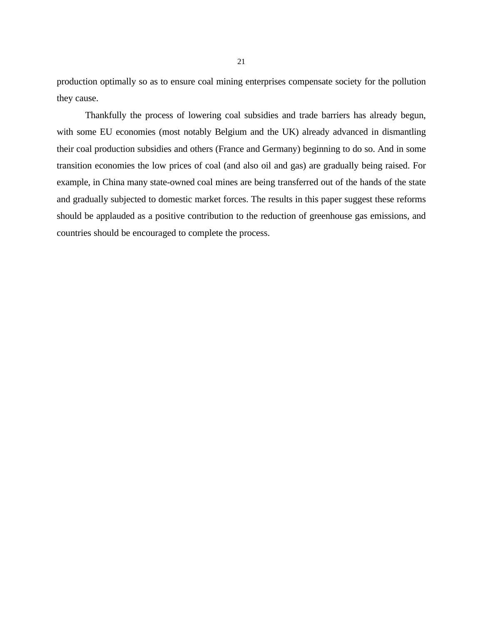production optimally so as to ensure coal mining enterprises compensate society for the pollution they cause.

Thankfully the process of lowering coal subsidies and trade barriers has already begun, with some EU economies (most notably Belgium and the UK) already advanced in dismantling their coal production subsidies and others (France and Germany) beginning to do so. And in some transition economies the low prices of coal (and also oil and gas) are gradually being raised. For example, in China many state-owned coal mines are being transferred out of the hands of the state and gradually subjected to domestic market forces. The results in this paper suggest these reforms should be applauded as a positive contribution to the reduction of greenhouse gas emissions, and countries should be encouraged to complete the process.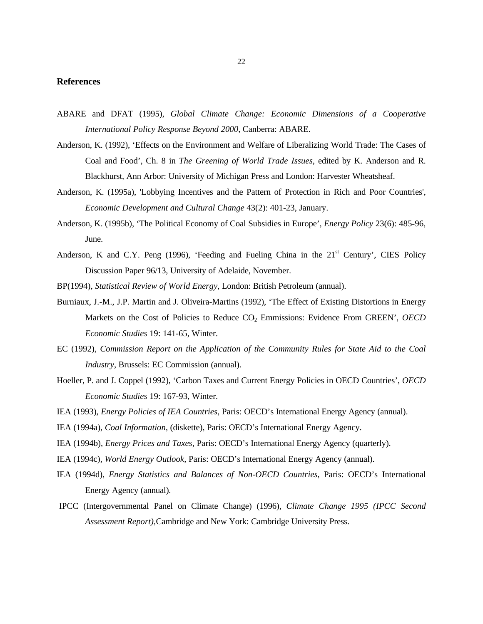#### **References**

- ABARE and DFAT (1995), *Global Climate Change: Economic Dimensions of a Cooperative International Policy Response Beyond 2000*, Canberra: ABARE.
- Anderson, K. (1992), 'Effects on the Environment and Welfare of Liberalizing World Trade: The Cases of Coal and Food', Ch. 8 in *The Greening of World Trade Issues*, edited by K. Anderson and R. Blackhurst, Ann Arbor: University of Michigan Press and London: Harvester Wheatsheaf.
- Anderson, K. (1995a), 'Lobbying Incentives and the Pattern of Protection in Rich and Poor Countries', *Economic Development and Cultural Change* 43(2): 401-23, January.
- Anderson, K. (1995b), 'The Political Economy of Coal Subsidies in Europe', *Energy Policy* 23(6): 485-96, June.
- Anderson, K and C.Y. Peng (1996), 'Feeding and Fueling China in the 21<sup>st</sup> Century', CIES Policy Discussion Paper 96/13, University of Adelaide, November.
- BP(1994), *Statistical Review of World Energy*, London: British Petroleum (annual).
- Burniaux, J.-M., J.P. Martin and J. Oliveira-Martins (1992), 'The Effect of Existing Distortions in Energy Markets on the Cost of Policies to Reduce CO<sub>2</sub> Emmissions: Evidence From GREEN', *OECD Economic Studies* 19: 141-65, Winter.
- EC (1992), *Commission Report on the Application of the Community Rules for State Aid to the Coal Industry*, Brussels: EC Commission (annual).
- Hoeller, P. and J. Coppel (1992), 'Carbon Taxes and Current Energy Policies in OECD Countries', *OECD Economic Studies* 19: 167-93, Winter.
- IEA (1993), *Energy Policies of IEA Countries*, Paris: OECD's International Energy Agency (annual).
- IEA (1994a), *Coal Information*, (diskette), Paris: OECD's International Energy Agency.
- IEA (1994b), *Energy Prices and Taxes*, Paris: OECD's International Energy Agency (quarterly).
- IEA (1994c), *World Energy Outlook*, Paris: OECD's International Energy Agency (annual).
- IEA (1994d), *Energy Statistics and Balances of Non-OECD Countries*, Paris: OECD's International Energy Agency (annual).
- IPCC (Intergovernmental Panel on Climate Change) (1996), *Climate Change 1995 (IPCC Second Assessment Report),*Cambridge and New York: Cambridge University Press.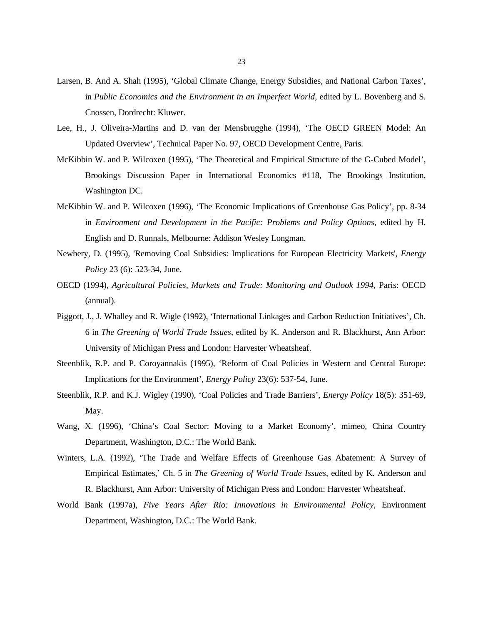- Larsen, B. And A. Shah (1995), 'Global Climate Change, Energy Subsidies, and National Carbon Taxes', in *Public Economics and the Environment in an Imperfect World*, edited by L. Bovenberg and S. Cnossen, Dordrecht: Kluwer.
- Lee, H., J. Oliveira-Martins and D. van der Mensbrugghe (1994), 'The OECD GREEN Model: An Updated Overview', Technical Paper No. 97, OECD Development Centre, Paris.
- McKibbin W. and P. Wilcoxen (1995), 'The Theoretical and Empirical Structure of the G-Cubed Model', Brookings Discussion Paper in International Economics #118, The Brookings Institution, Washington DC.
- McKibbin W. and P. Wilcoxen (1996), 'The Economic Implications of Greenhouse Gas Policy', pp. 8-34 in *Environment and Development in the Pacific: Problems and Policy Options*, edited by H. English and D. Runnals, Melbourne: Addison Wesley Longman.
- Newbery, D. (1995), 'Removing Coal Subsidies: Implications for European Electricity Markets', *Energy Policy* 23 (6): 523-34, June.
- OECD (1994), *Agricultural Policies, Markets and Trade: Monitoring and Outlook 1994*, Paris: OECD (annual).
- Piggott, J., J. Whalley and R. Wigle (1992), 'International Linkages and Carbon Reduction Initiatives', Ch. 6 in *The Greening of World Trade Issues*, edited by K. Anderson and R. Blackhurst, Ann Arbor: University of Michigan Press and London: Harvester Wheatsheaf.
- Steenblik, R.P. and P. Coroyannakis (1995), 'Reform of Coal Policies in Western and Central Europe: Implications for the Environment', *Energy Policy* 23(6): 537-54, June.
- Steenblik, R.P. and K.J. Wigley (1990), 'Coal Policies and Trade Barriers', *Energy Policy* 18(5): 351-69, May.
- Wang, X. (1996), 'China's Coal Sector: Moving to a Market Economy', mimeo, China Country Department, Washington, D.C.: The World Bank.
- Winters, L.A. (1992), 'The Trade and Welfare Effects of Greenhouse Gas Abatement: A Survey of Empirical Estimates,' Ch. 5 in *The Greening of World Trade Issues*, edited by K. Anderson and R. Blackhurst, Ann Arbor: University of Michigan Press and London: Harvester Wheatsheaf.
- World Bank (1997a), *Five Years After Rio: Innovations in Environmental Policy*, Environment Department, Washington, D.C.: The World Bank.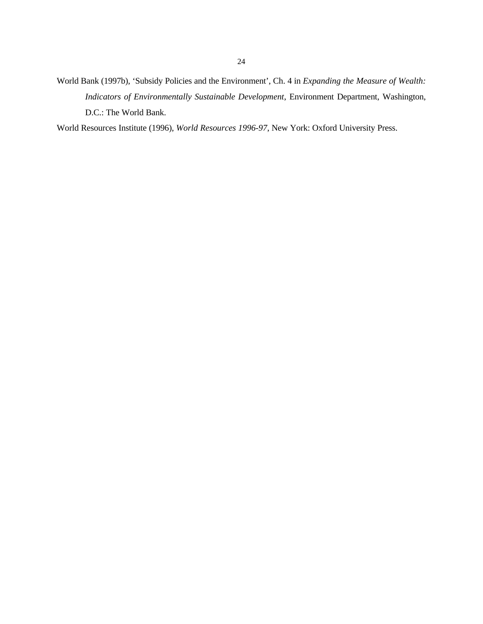World Bank (1997b), 'Subsidy Policies and the Environment', Ch. 4 in *Expanding the Measure of Wealth: Indicators of Environmentally Sustainable Development*, Environment Department, Washington, D.C.: The World Bank.

World Resources Institute (1996), *World Resources 1996-97*, New York: Oxford University Press.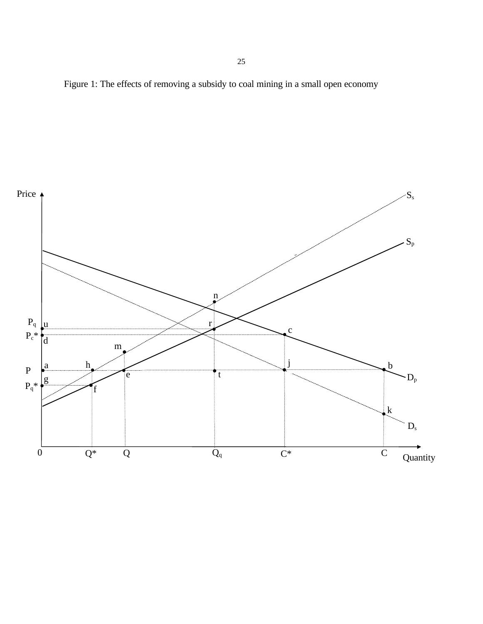Figure 1: The effects of removing a subsidy to coal mining in a small open economy

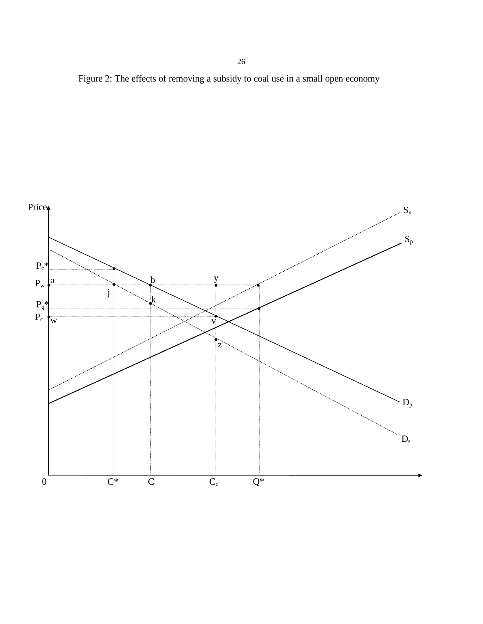Figure 2: The effects of removing a subsidy to coal use in a small open economy

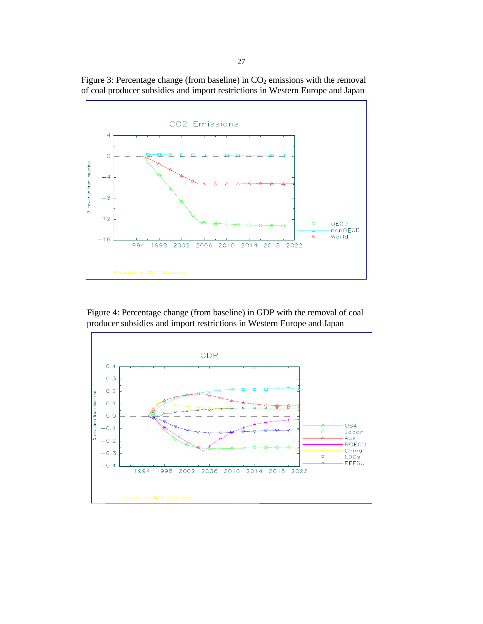



Figure 4: Percentage change (from baseline) in GDP with the removal of coal producer subsidies and import restrictions in Western Europe and Japan

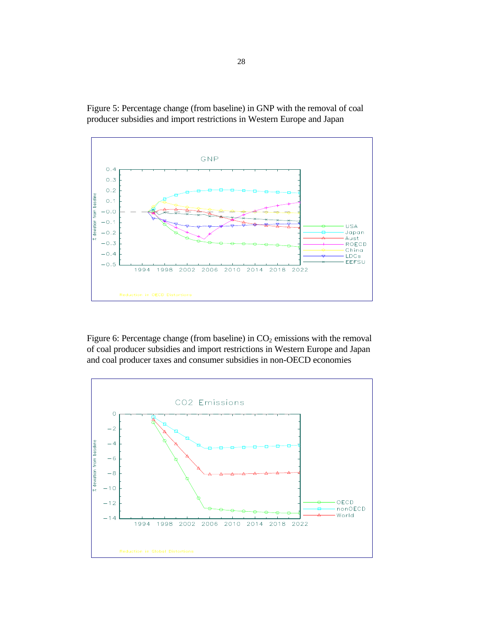

Figure 5: Percentage change (from baseline) in GNP with the removal of coal producer subsidies and import restrictions in Western Europe and Japan

Figure 6: Percentage change (from baseline) in  $CO<sub>2</sub>$  emissions with the removal of coal producer subsidies and import restrictions in Western Europe and Japan and coal producer taxes and consumer subsidies in non-OECD economies

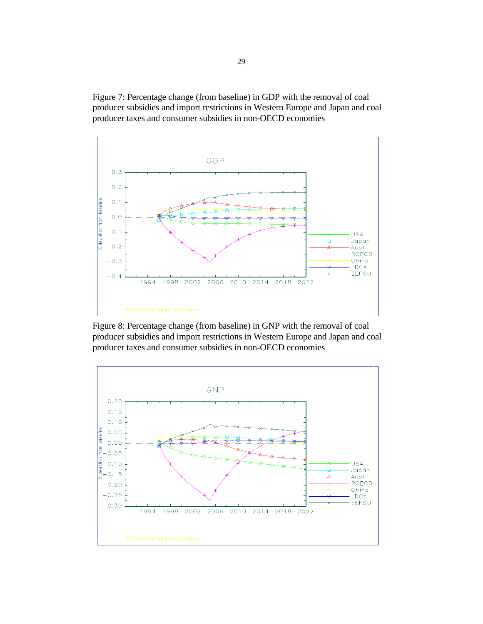Figure 7: Percentage change (from baseline) in GDP with the removal of coal producer subsidies and import restrictions in Western Europe and Japan and coal producer taxes and consumer subsidies in non-OECD economies



Figure 8: Percentage change (from baseline) in GNP with the removal of coal producer subsidies and import restrictions in Western Europe and Japan and coal producer taxes and consumer subsidies in non-OECD economies

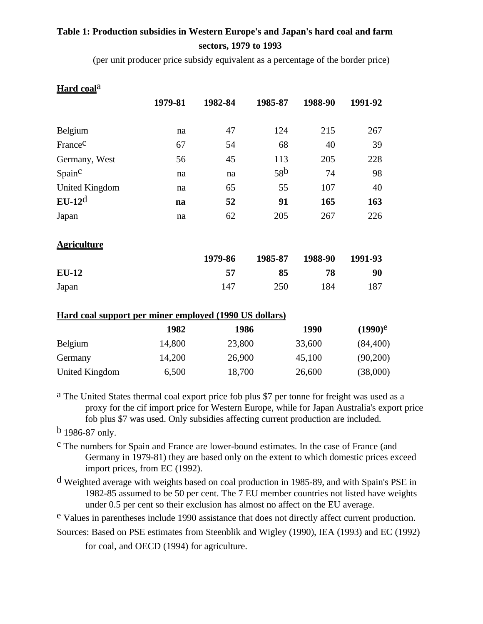# **Table 1: Production subsidies in Western Europe's and Japan's hard coal and farm sectors, 1979 to 1993**

(per unit producer price subsidy equivalent as a percentage of the border price)

| Hard coal <sup>a</sup> |         |         |                 |         |         |
|------------------------|---------|---------|-----------------|---------|---------|
|                        | 1979-81 | 1982-84 | 1985-87         | 1988-90 | 1991-92 |
|                        |         |         |                 |         |         |
| Belgium                | na      | 47      | 124             | 215     | 267     |
| France <sup>c</sup>    | 67      | 54      | 68              | 40      | 39      |
| Germany, West          | 56      | 45      | 113             | 205     | 228     |
| Spain <sup>c</sup>     | na      | na      | 58 <sup>b</sup> | 74      | 98      |
| <b>United Kingdom</b>  | na      | 65      | 55              | 107     | 40      |
| $EU-12d$               | na      | 52      | 91              | 165     | 163     |
| Japan                  | na      | 62      | 205             | 267     | 226     |
| <b>Agriculture</b>     |         |         |                 |         |         |
|                        |         | 1979-86 | 1985-87         | 1988-90 | 1991-93 |
| $EU-12$                |         | 57      | 85              | 78      | 90      |
| Japan                  |         | 147     | 250             | 184     | 187     |

### **Hard coal support per miner employed (1990 US dollars)**

|                | 1982   | 1986   | <b>1990</b> | $(1990)^e$ |
|----------------|--------|--------|-------------|------------|
| <b>Belgium</b> | 14,800 | 23,800 | 33,600      | (84, 400)  |
| Germany        | 14,200 | 26,900 | 45,100      | (90,200)   |
| United Kingdom | 6,500  | 18,700 | 26,600      | (38,000)   |

a The United States thermal coal export price fob plus \$7 per tonne for freight was used as a proxy for the cif import price for Western Europe, while for Japan Australia's export price fob plus \$7 was used. Only subsidies affecting current production are included.

b 1986-87 only.

- c The numbers for Spain and France are lower-bound estimates. In the case of France (and Germany in 1979-81) they are based only on the extent to which domestic prices exceed import prices, from EC (1992).
- d Weighted average with weights based on coal production in 1985-89, and with Spain's PSE in 1982-85 assumed to be 50 per cent. The 7 EU member countries not listed have weights under 0.5 per cent so their exclusion has almost no affect on the EU average.

e Values in parentheses include 1990 assistance that does not directly affect current production.

Sources: Based on PSE estimates from Steenblik and Wigley (1990), IEA (1993) and EC (1992) for coal, and OECD (1994) for agriculture.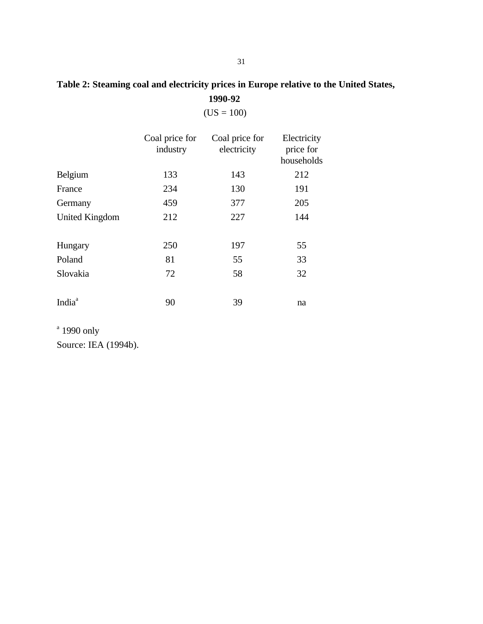# **Table 2: Steaming coal and electricity prices in Europe relative to the United States, 1990-92**

 $(US = 100)$ 

|                       | Coal price for<br>industry | Coal price for<br>electricity | Electricity<br>price for<br>households |
|-----------------------|----------------------------|-------------------------------|----------------------------------------|
| Belgium               | 133                        | 143                           | 212                                    |
| France                | 234                        | 130                           | 191                                    |
| Germany               | 459                        | 377                           | 205                                    |
| <b>United Kingdom</b> | 212                        | 227                           | 144                                    |
| Hungary               | 250                        | 197                           | 55                                     |
| Poland                | 81                         | 55                            | 33                                     |
| Slovakia              | 72                         | 58                            | 32                                     |
| India <sup>a</sup>    | 90                         | 39                            | na                                     |

 $a$  1990 only

Source: IEA (1994b).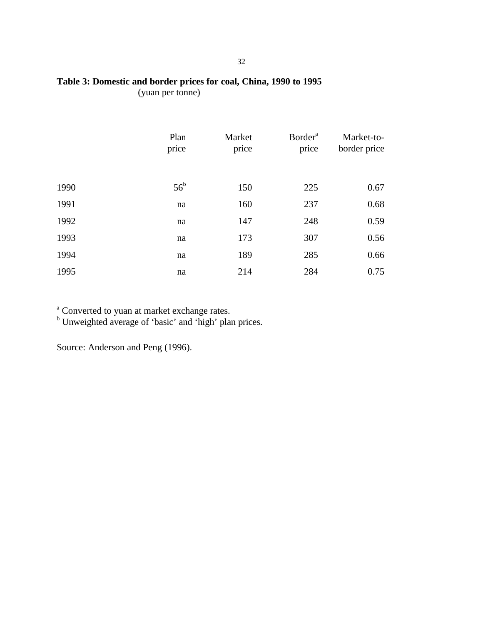# **Table 3: Domestic and border prices for coal, China, 1990 to 1995** (yuan per tonne)

|      | Plan<br>price | Market<br>price | Border <sup>a</sup><br>price | Market-to-<br>border price |
|------|---------------|-----------------|------------------------------|----------------------------|
| 1990 | $56^{\rm b}$  | 150             | 225                          | 0.67                       |
| 1991 | na            | 160             | 237                          | 0.68                       |
| 1992 | na            | 147             | 248                          | 0.59                       |
| 1993 | na            | 173             | 307                          | 0.56                       |
| 1994 | na            | 189             | 285                          | 0.66                       |
| 1995 | na            | 214             | 284                          | 0.75                       |

<sup>a</sup> Converted to yuan at market exchange rates.<br><sup>b</sup> Unweighted average of 'basic' and 'high' plan prices.

Source: Anderson and Peng (1996).